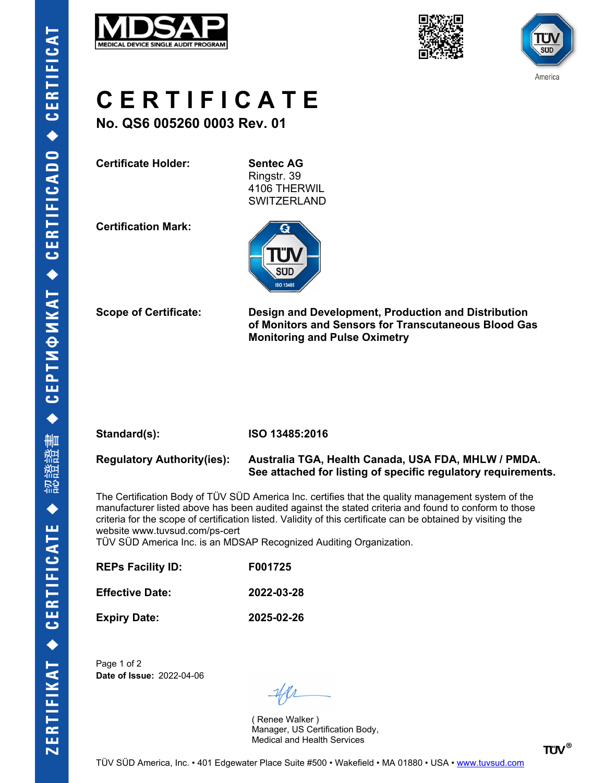





# **C E R T I F I C A T E**

**No. QS6 005260 0003 Rev. 01**

**Certificate Holder: Sentec AG**

Ringstr. 39 4106 THERWIL SWITZERLAND

**Certification Mark:**



**Scope of Certificate: Design and Development, Production and Distribution of Monitors and Sensors for Transcutaneous Blood Gas Monitoring and Pulse Oximetry**

| Standard(s): |  |  |
|--------------|--|--|
|              |  |  |
|              |  |  |

**Standard(s): ISO 13485:2016**

**Regulatory Authority(ies): Australia TGA, Health Canada, USA FDA, MHLW / PMDA. See attached for listing of specific regulatory requirements.**

The Certification Body of TÜV SÜD America Inc. certifies that the quality management system of the manufacturer listed above has been audited against the stated criteria and found to conform to those criteria for the scope of certification listed. Validity of this certificate can be obtained by visiting the website www.tuvsud.com/ps-cert

TÜV SÜD America Inc. is an MDSAP Recognized Auditing Organization.

| <b>REPs Facility ID:</b> | F001725    |
|--------------------------|------------|
| <b>Effective Date:</b>   | 2022-03-28 |
| <b>Expiry Date:</b>      | 2025-02-26 |

Page 1 of 2 **Date of Issue:** 2022-04-06

( Renee Walker ) Manager, US Certification Body, Medical and Health Services

**TÜV®**